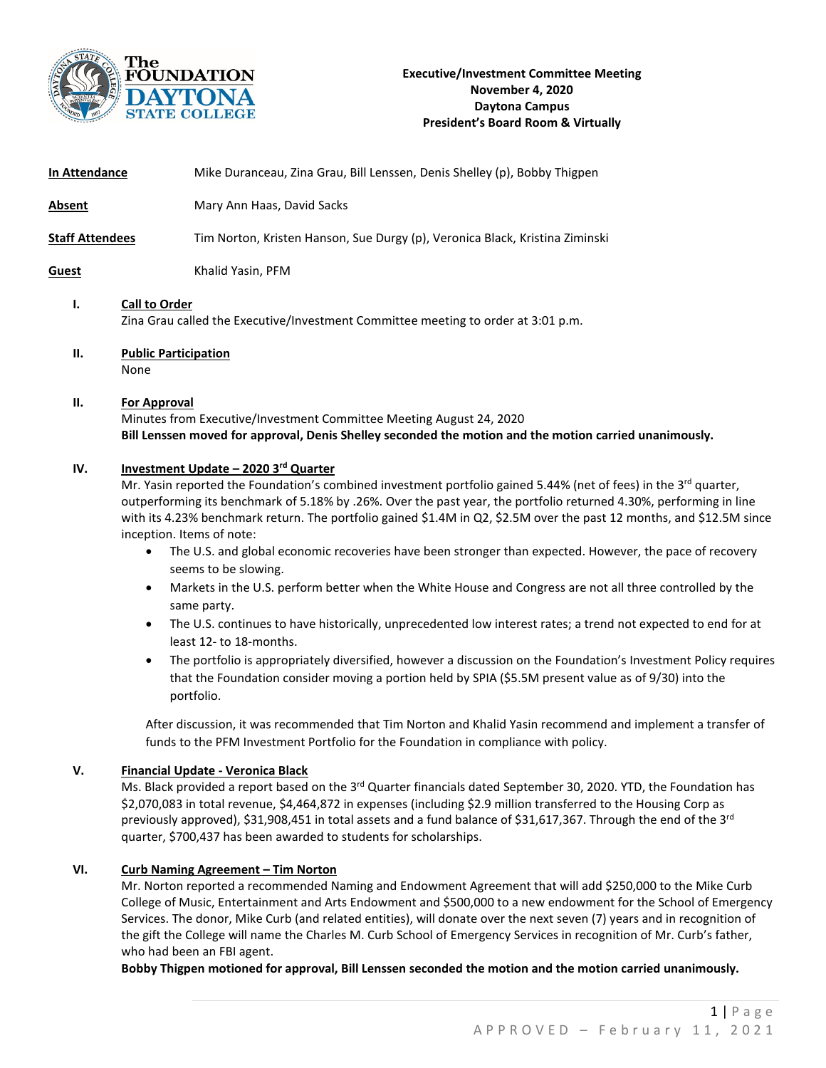

| In Attendance          | Mike Duranceau, Zina Grau, Bill Lenssen, Denis Shelley (p), Bobby Thigpen                                                                                                                                                                                                                                                                                                                                                                                                                                                                                                                                                                                                                                                                                                                                                                                                                                                                                                                                                                                                                                                                                |
|------------------------|----------------------------------------------------------------------------------------------------------------------------------------------------------------------------------------------------------------------------------------------------------------------------------------------------------------------------------------------------------------------------------------------------------------------------------------------------------------------------------------------------------------------------------------------------------------------------------------------------------------------------------------------------------------------------------------------------------------------------------------------------------------------------------------------------------------------------------------------------------------------------------------------------------------------------------------------------------------------------------------------------------------------------------------------------------------------------------------------------------------------------------------------------------|
| <b>Absent</b>          | Mary Ann Haas, David Sacks                                                                                                                                                                                                                                                                                                                                                                                                                                                                                                                                                                                                                                                                                                                                                                                                                                                                                                                                                                                                                                                                                                                               |
| <b>Staff Attendees</b> | Tim Norton, Kristen Hanson, Sue Durgy (p), Veronica Black, Kristina Ziminski                                                                                                                                                                                                                                                                                                                                                                                                                                                                                                                                                                                                                                                                                                                                                                                                                                                                                                                                                                                                                                                                             |
| <b>Guest</b>           | Khalid Yasin, PFM                                                                                                                                                                                                                                                                                                                                                                                                                                                                                                                                                                                                                                                                                                                                                                                                                                                                                                                                                                                                                                                                                                                                        |
| Ι.                     | <b>Call to Order</b><br>Zina Grau called the Executive/Investment Committee meeting to order at 3:01 p.m.                                                                                                                                                                                                                                                                                                                                                                                                                                                                                                                                                                                                                                                                                                                                                                                                                                                                                                                                                                                                                                                |
| П.                     | <b>Public Participation</b><br>None                                                                                                                                                                                                                                                                                                                                                                                                                                                                                                                                                                                                                                                                                                                                                                                                                                                                                                                                                                                                                                                                                                                      |
| П.                     | <b>For Approval</b><br>Minutes from Executive/Investment Committee Meeting August 24, 2020<br>Bill Lenssen moved for approval, Denis Shelley seconded the motion and the motion carried unanimously.                                                                                                                                                                                                                                                                                                                                                                                                                                                                                                                                                                                                                                                                                                                                                                                                                                                                                                                                                     |
| IV.                    | Investment Update - 2020 3rd Quarter<br>Mr. Yasin reported the Foundation's combined investment portfolio gained 5.44% (net of fees) in the 3 <sup>rd</sup> quarter,<br>outperforming its benchmark of 5.18% by .26%. Over the past year, the portfolio returned 4.30%, performing in line<br>with its 4.23% benchmark return. The portfolio gained \$1.4M in Q2, \$2.5M over the past 12 months, and \$12.5M since<br>inception. Items of note:<br>The U.S. and global economic recoveries have been stronger than expected. However, the pace of recovery<br>$\bullet$<br>seems to be slowing.<br>Markets in the U.S. perform better when the White House and Congress are not all three controlled by the<br>$\bullet$<br>same party.<br>The U.S. continues to have historically, unprecedented low interest rates; a trend not expected to end for at<br>$\bullet$<br>least 12- to 18-months.<br>The portfolio is appropriately diversified, however a discussion on the Foundation's Investment Policy requires<br>$\bullet$<br>that the Foundation consider moving a portion held by SPIA (\$5.5M present value as of 9/30) into the<br>portfolio. |
|                        | After discussion, it was recommended that Tim Norton and Khalid Yasin recommend and implement a transfer of<br>funds to the PFM Investment Portfolio for the Foundation in compliance with policy.                                                                                                                                                                                                                                                                                                                                                                                                                                                                                                                                                                                                                                                                                                                                                                                                                                                                                                                                                       |
| v.                     | <b>Financial Update - Veronica Black</b><br>Ms. Black provided a report based on the 3 <sup>rd</sup> Quarter financials dated September 30, 2020. YTD, the Foundation has<br>\$2,070,083 in total revenue, \$4,464,872 in expenses (including \$2.9 million transferred to the Housing Corp as<br>previously approved), \$31,908,451 in total assets and a fund balance of \$31,617,367. Through the end of the 3rd<br>quarter, \$700,437 has been awarded to students for scholarships.                                                                                                                                                                                                                                                                                                                                                                                                                                                                                                                                                                                                                                                                 |

## **VI. Curb Naming Agreement – Tim Norton**

Mr. Norton reported a recommended Naming and Endowment Agreement that will add \$250,000 to the Mike Curb College of Music, Entertainment and Arts Endowment and \$500,000 to a new endowment for the School of Emergency Services. The donor, Mike Curb (and related entities), will donate over the next seven (7) years and in recognition of the gift the College will name the Charles M. Curb School of Emergency Services in recognition of Mr. Curb's father, who had been an FBI agent.

**Bobby Thigpen motioned for approval, Bill Lenssen seconded the motion and the motion carried unanimously.**